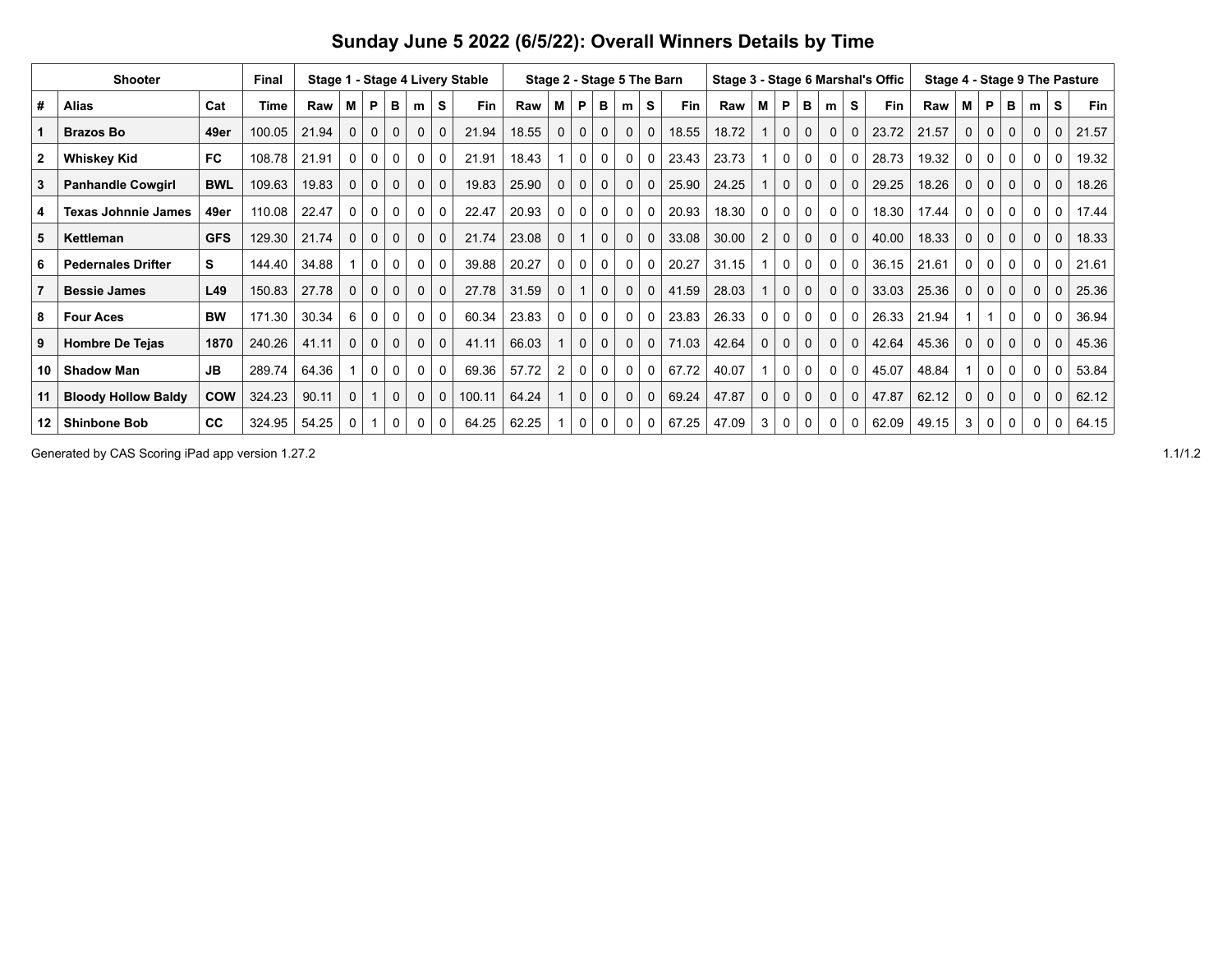|                | <b>Shooter</b>             |            | Final  |       |              |          |              |             |             | Stage 1 - Stage 4 Livery Stable |       |                |              |             |              |              | Stage 2 - Stage 5 The Barn |       |          |                |              |             |          | Stage 3 - Stage 6 Marshal's Offic |       |   |             |          |          |             | Stage 4 - Stage 9 The Pasture |
|----------------|----------------------------|------------|--------|-------|--------------|----------|--------------|-------------|-------------|---------------------------------|-------|----------------|--------------|-------------|--------------|--------------|----------------------------|-------|----------|----------------|--------------|-------------|----------|-----------------------------------|-------|---|-------------|----------|----------|-------------|-------------------------------|
| #              | <b>Alias</b>               | Cat        | Time   | Raw   | Μ            | P        | в            | m           | S           | Fin                             | Raw   | м              | P            | в           | m            | S            | Fin                        | Raw   | M        | P              | в            | m           | s        | Fin                               | Raw   | м | P           | в        | m        | S           | <b>Fin</b>                    |
|                | <b>Brazos Bo</b>           | 49er       | 100.05 | 21.94 | $\Omega$     | $\Omega$ | $\Omega$     | $\Omega$    | $\Omega$    | 21.94                           | 18.55 | 0              | $\mathbf{0}$ | 0           | $\mathbf{0}$ | $\mathbf{0}$ | 18.55                      | 18.72 |          | $\mathbf{0}$   | $\mathbf 0$  | $\Omega$    | $\Omega$ | 23.72                             | 21.57 | 0 | $\Omega$    | $\Omega$ | $\Omega$ | $\mathbf 0$ | 21.57                         |
| $\overline{2}$ | <b>Whiskey Kid</b>         | <b>FC</b>  | 108.78 | 21.91 | 0            | 0        | 0            | 0           | $\Omega$    | 21.91                           | 18.43 |                | 0            | 0           | 0            | 0            | 23.43                      | 23.73 |          | 0              | 0            | $\Omega$    | 0        | 28.73                             | 19.32 |   | 0           | 0        | 0        | $\mathbf 0$ | 19.32                         |
| 3              | <b>Panhandle Cowgirl</b>   | <b>BWL</b> | 109.63 | 19.83 | $\mathbf{0}$ | $\Omega$ | 0            | $\Omega$    | $\Omega$    | 19.83                           | 25.90 | $\Omega$       | $\mathbf{0}$ | $\Omega$    | $\Omega$     |              | 25.90                      | 24.25 |          | $\mathbf{0}$   | $\mathbf 0$  | $\Omega$    | $\Omega$ | 29.25                             | 18.26 | 0 | $\mathbf 0$ | $\Omega$ | $\Omega$ | $\mathbf 0$ | 18.26                         |
| 4              | <b>Texas Johnnie James</b> | 49er       | 110.08 | 22.47 | 0            | $\Omega$ | $\mathbf{0}$ | $\Omega$    | $\Omega$    | 22.47                           | 20.93 | 0              | 0            | 0           | $\Omega$     |              | 20.93                      | 18.30 | $\Omega$ | $\mathbf{0}$   | 0            | $\Omega$    | 0        | 18.30                             | 17.44 | 0 | 0           | 0        | $\Omega$ | $\mathbf 0$ | 17.44                         |
| 5              | Kettleman                  | <b>GFS</b> | 129.30 | 21.74 | $\mathbf{0}$ | 0        | 0            | $\mathbf 0$ | $\mathbf 0$ | 21.74                           | 23.08 | 0              |              | $\mathbf 0$ | $\mathbf{0}$ |              | 33.08                      | 30.00 | 2        | $\mathbf{0}$   | 0            | $\mathbf 0$ | 0        | 40.00                             | 18.33 | 0 | $\mathbf 0$ | 0        | 0        | $\mathbf 0$ | 18.33                         |
| 6              | <b>Pedernales Drifter</b>  | s          | 144.40 | 34.88 |              | $\Omega$ | 0            | $\Omega$    | $\Omega$    | 39.88                           | 20.27 | $\Omega$       | 0            | $\Omega$    | $\Omega$     |              | 20.27                      | 31.15 |          | 0              | $\mathbf{0}$ | $\Omega$    | $\Omega$ | 36.15                             | 21.61 | 0 | $\Omega$    | $\Omega$ | $\Omega$ | 0           | 21.61                         |
| $\overline{7}$ | <b>Bessie James</b>        | L49        | 150.83 | 27.78 | $\Omega$     | $\Omega$ | $\Omega$     | $\Omega$    | $\Omega$    | 27.78                           | 31.59 | $\Omega$       |              | $\mathbf 0$ | $\Omega$     | $\Omega$     | 41.59                      | 28.03 |          | $\overline{0}$ | $\mathbf{0}$ | $\Omega$    | $\Omega$ | 33.03                             | 25.36 | 0 | $\mathbf 0$ | $\Omega$ | $\Omega$ | $\mathbf 0$ | 25.36                         |
| 8              | <b>Four Aces</b>           | <b>BW</b>  | 171.30 | 30.34 | 6            | 0        | $\mathbf{0}$ | 0           | $\Omega$    | 60.34                           | 23.83 | 0              | 0            | 0           | 0            | 0            | 23.83                      | 26.33 | 0        | $\mathbf 0$    | 0            | $\Omega$    | 0        | 26.33                             | 21.94 |   |             | 0        | 0        | 0           | 36.94                         |
| 9              | <b>Hombre De Tejas</b>     | 1870       | 240.26 | 41.11 | $\mathbf 0$  | $\Omega$ | $\Omega$     | $\mathbf 0$ | $\Omega$    | 41.11                           | 66.03 |                | $\mathbf{0}$ | $\Omega$    | $\Omega$     | $\Omega$     | 71.03                      | 42.64 | 0        | $\Omega$       | $\Omega$     | $\Omega$    | $\Omega$ | 42.64                             | 45.36 | 0 | $\Omega$    | $\Omega$ | $\Omega$ | $\Omega$    | 45.36                         |
| 10             | <b>Shadow Man</b>          | <b>JB</b>  | 289.74 | 64.36 |              | $\Omega$ | 0            | $\Omega$    | $\Omega$    | 69.36                           | 57.72 | $\overline{2}$ | 0            | 0           | 0            | $\mathbf{0}$ | 67.72                      | 40.07 |          | 0              | 0            | $\Omega$    | 0        | 45.07                             | 48.84 |   | $\mathbf 0$ | 0        | $\Omega$ | $\mathbf 0$ | 53.84                         |
|                | <b>Bloody Hollow Baldy</b> | <b>COW</b> | 324.23 | 90.11 | $\mathbf 0$  |          | 0            | $\mathbf 0$ | $\mathbf 0$ | 100.11                          | 64.24 |                | $\mathbf{0}$ | $\mathbf 0$ | $\mathbf 0$  | $\mathbf 0$  | 69.24                      | 47.87 | 0        | $\mathbf{0}$   | $\mathbf 0$  | $\mathbf 0$ | 0        | 47.87                             | 62.12 | 0 | $\mathbf 0$ | 0        | $\Omega$ | $\mathbf 0$ | 62.12                         |
| 12             | <b>Shinbone Bob</b>        | cc         | 324.95 | 54.25 | 0            |          | 0            | 0           | 0           | 64.25                           | 62.25 |                | 0            | 0           |              |              | 67.25                      | 47.09 | 3        | 0              | 0            | 0           | 0        | 62.09                             | 49.15 |   | 0           |          | 0        | 0           | 64.15                         |

## **Sunday June 5 2022 (6/5/22): Overall Winners Details by Time**

Generated by CAS Scoring iPad app version 1.27.2 1.1/1.2